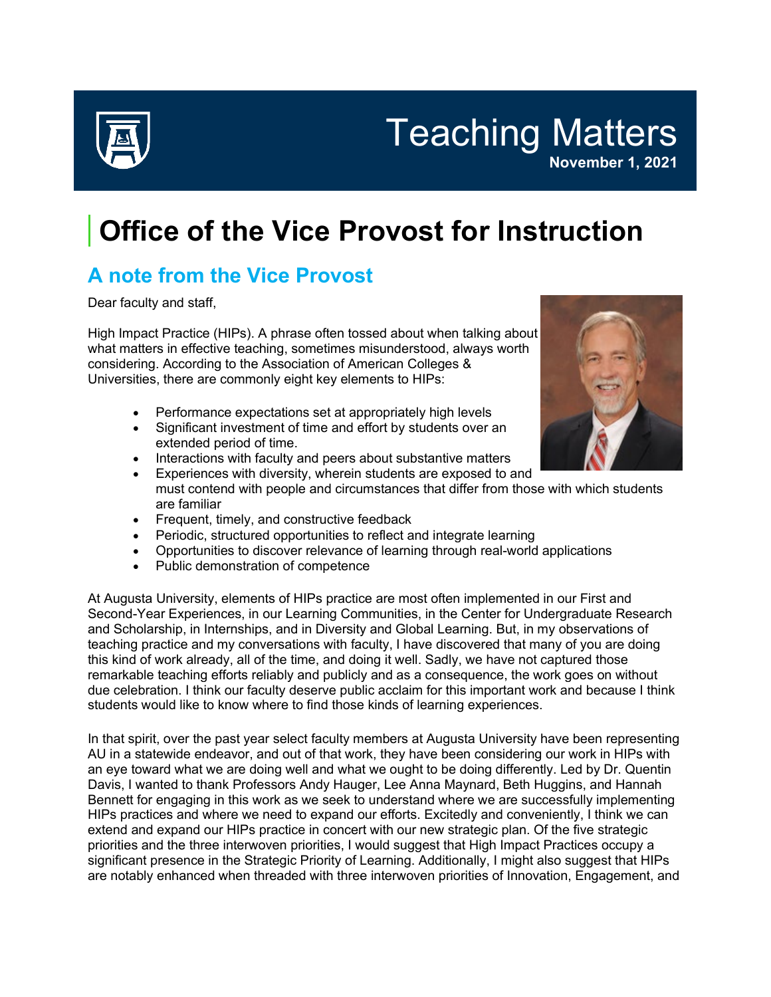

Teaching Matters **November 1, 2021**

## **Office of the Vice Provost for Instruction**

## **A note from the Vice Provost**

Dear faculty and staff,

High Impact Practice (HIPs). A phrase often tossed about when talking about what matters in effective teaching, sometimes misunderstood, always worth considering. According to the Association of American Colleges & Universities, there are commonly eight key elements to HIPs:

- Performance expectations set at appropriately high levels
- Significant investment of time and effort by students over an extended period of time.
- Interactions with faculty and peers about substantive matters
- Experiences with diversity, wherein students are exposed to and must contend with people and circumstances that differ from those with which students are familiar
- Frequent, timely, and constructive feedback
- Periodic, structured opportunities to reflect and integrate learning
- Opportunities to discover relevance of learning through real-world applications
- Public demonstration of competence

At Augusta University, elements of HIPs practice are most often implemented in our First and Second-Year Experiences, in our Learning Communities, in the Center for Undergraduate Research and Scholarship, in Internships, and in Diversity and Global Learning. But, in my observations of teaching practice and my conversations with faculty, I have discovered that many of you are doing this kind of work already, all of the time, and doing it well. Sadly, we have not captured those remarkable teaching efforts reliably and publicly and as a consequence, the work goes on without due celebration. I think our faculty deserve public acclaim for this important work and because I think students would like to know where to find those kinds of learning experiences.

In that spirit, over the past year select faculty members at Augusta University have been representing AU in a statewide endeavor, and out of that work, they have been considering our work in HIPs with an eye toward what we are doing well and what we ought to be doing differently. Led by Dr. Quentin Davis, I wanted to thank Professors Andy Hauger, Lee Anna Maynard, Beth Huggins, and Hannah Bennett for engaging in this work as we seek to understand where we are successfully implementing HIPs practices and where we need to expand our efforts. Excitedly and conveniently, I think we can extend and expand our HIPs practice in concert with our new strategic plan. Of the five strategic priorities and the three interwoven priorities, I would suggest that High Impact Practices occupy a significant presence in the Strategic Priority of Learning. Additionally, I might also suggest that HIPs are notably enhanced when threaded with three interwoven priorities of Innovation, Engagement, and

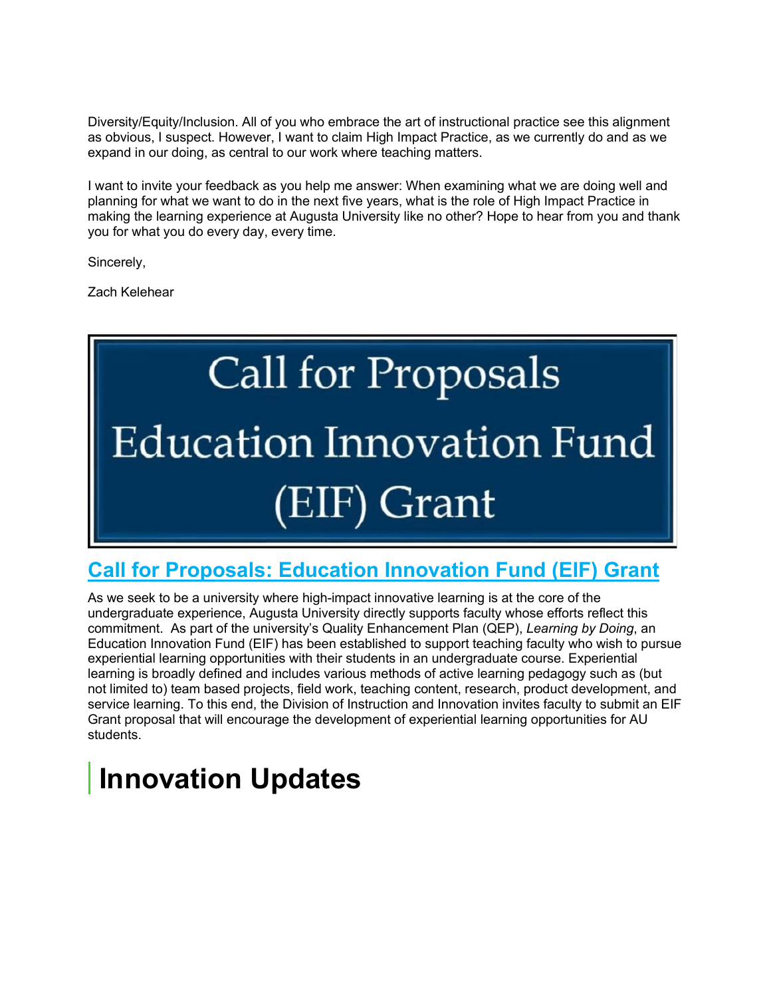Diversity/Equity/Inclusion. All of you who embrace the art of instructional practice see this alignment as obvious, I suspect. However, I want to claim High Impact Practice, as we currently do and as we expand in our doing, as central to our work where teaching matters.

I want to invite your feedback as you help me answer: When examining what we are doing well and planning for what we want to do in the next five years, what is the role of High Impact Practice in making the learning experience at Augusta University like no other? Hope to hear from you and thank you for what you do every day, every time.

Sincerely,

Zach Kelehear

# **Call for Proposals Education Innovation Fund** (EIF) Grant

### **[Call for Proposals: Education Innovation Fund \(EIF\) Grant](https://auginstruction.us.newsweaver.com/1thdod2jd7/xkd2hfv4tuas0clokiabax?lang=en&a=1&p=8494912&t=2259631)**

As we seek to be a university where high-impact innovative learning is at the core of the undergraduate experience, Augusta University directly supports faculty whose efforts reflect this commitment. As part of the university's Quality Enhancement Plan (QEP), *Learning by Doing*, an Education Innovation Fund (EIF) has been established to support teaching faculty who wish to pursue experiential learning opportunities with their students in an undergraduate course. Experiential learning is broadly defined and includes various methods of active learning pedagogy such as (but not limited to) team based projects, field work, teaching content, research, product development, and service learning. To this end, the Division of Instruction and Innovation invites faculty to submit an EIF Grant proposal that will encourage the development of experiential learning opportunities for AU students.

# **Innovation Updates**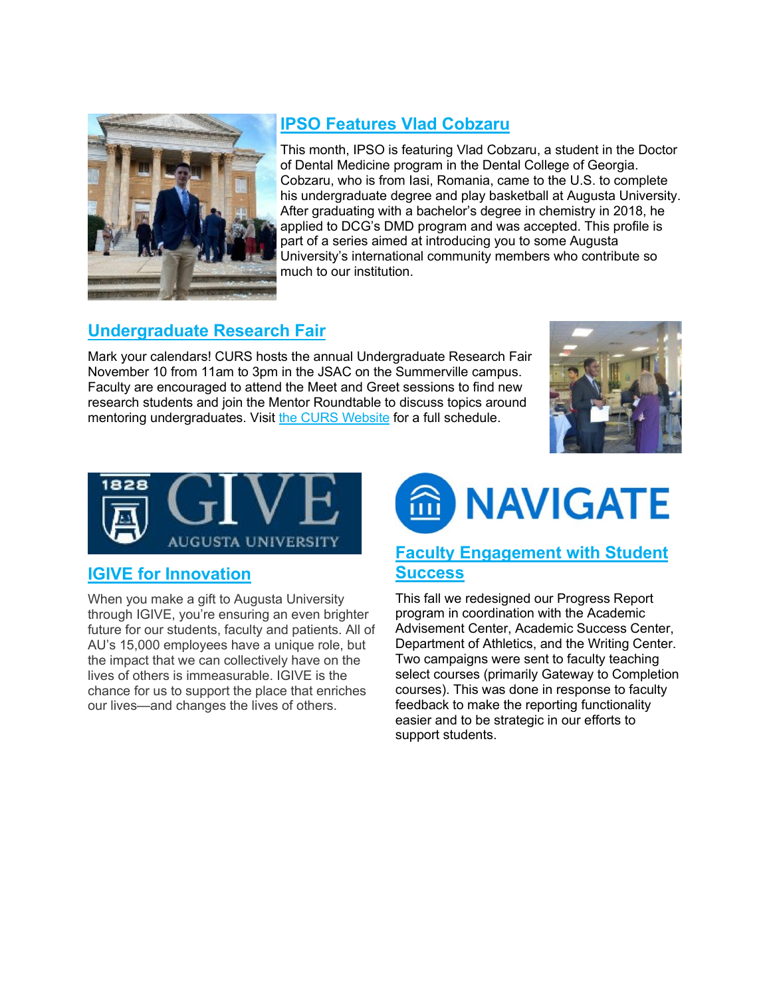

#### **[IPSO Features Vlad Cobzaru](https://auginstruction.us.newsweaver.com/1thdod2jd7/vmtbcblgbh9s0clokiabax?lang=en&a=1&p=8494912&t=2188137)**

This month, IPSO is featuring Vlad Cobzaru, a student in the Doctor of Dental Medicine program in the Dental College of Georgia. Cobzaru, who is from Iasi, Romania, came to the U.S. to complete his undergraduate degree and play basketball at Augusta University. After graduating with a bachelor's degree in chemistry in 2018, he applied to DCG's DMD program and was accepted. This profile is part of a series aimed at introducing you to some Augusta University's international community members who contribute so much to our institution.

#### **[Undergraduate Research Fair](https://auginstruction.us.newsweaver.com/1thdod2jd7/1i0td66nm69s0clokiabax?lang=en&a=1&p=8494912&t=1546057)**

Mark your calendars! CURS hosts the annual Undergraduate Research Fair November 10 from 11am to 3pm in the JSAC on the Summerville campus. Faculty are encouraged to attend the Meet and Greet sessions to find new research students and join the Mentor Roundtable to discuss topics around mentoring undergraduates. Visit [the CURS Website](https://auginstruction.us.newsweaver.com/1thdod2jd7/1m9af3ygasvs0clokiabax/external?a=5&p=8494912&t=1546057) for a full schedule.





#### **[IGIVE for Innovation](https://auginstruction.us.newsweaver.com/1thdod2jd7/x0jums01d28s0clokiabax?lang=en&a=1&p=8494912&t=2265944)**

When you make a gift to Augusta University through IGIVE, you're ensuring an even brighter future for our students, faculty and patients. All of AU's 15,000 employees have a unique role, but the impact that we can collectively have on the lives of others is immeasurable. IGIVE is the chance for us to support the place that enriches our lives—and changes the lives of others.



#### **[Faculty Engagement with Student](https://auginstruction.us.newsweaver.com/1thdod2jd7/ti805l5s97us0clokiabax?lang=en&a=1&p=8494912&t=2265944)  [Success](https://auginstruction.us.newsweaver.com/1thdod2jd7/ti805l5s97us0clokiabax?lang=en&a=1&p=8494912&t=2265944)**

This fall we redesigned our Progress Report program in coordination with the Academic Advisement Center, Academic Success Center, Department of Athletics, and the Writing Center. Two campaigns were sent to faculty teaching select courses (primarily Gateway to Completion courses). This was done in response to faculty feedback to make the reporting functionality easier and to be strategic in our efforts to support students.